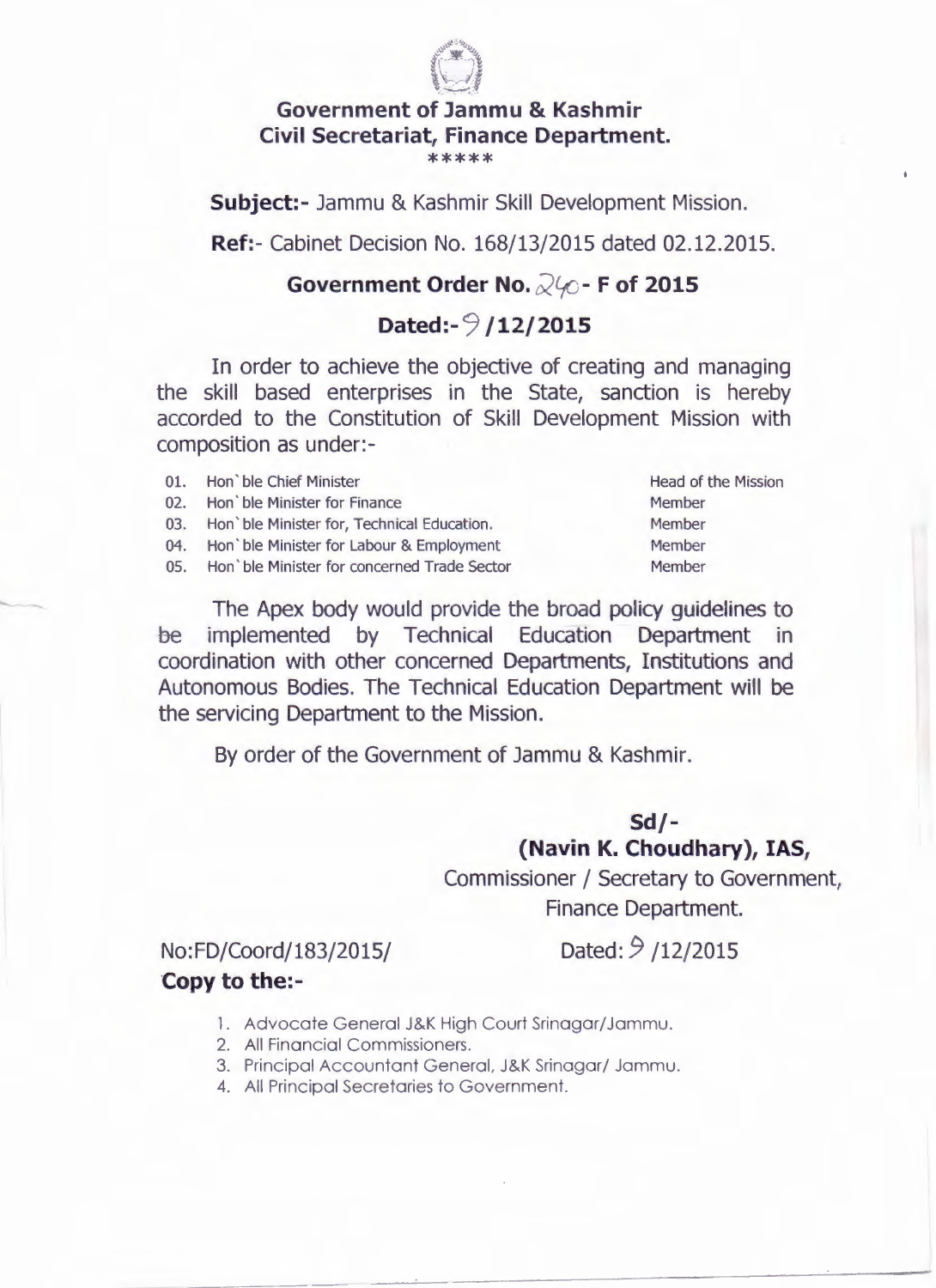

#### **Government of Jammu & Kashmir Civil Secretariat, Finance Department.**  \*\*\*\*\*

**Subject:-** Jammu & Kashmir Skill Development Mission.

**Ref:-** Cabinet Decision No. 168/13/2015 dated 02.12.2015.

### **Government Order No.**  $\sqrt{2}$  **- F of 2015**

### **Dated:- 9 /12/2015**

In order to achieve the objective of creating and managing the skill based enterprises in the State, sanction is hereby accorded to the Constitution of Skill Development Mission with composition as under:-

- 01. Hon ble Chief Minister **Head of the Mission**
- 02. Hon `ble Minister for Finance Member
- 03. Hon' ble Minister for, Technical Education. Member
- 04. Hon 'ble Minister for Labour & Employment Member
- 05. Hon 'ble Minister for concerned Trade Sector Member

The Apex body would provide the broad policy guidelines to be implemented by Technical Education Department in coordination with other concerned Departments, Institutions and Autonomous Bodies. The Technical Education Department will be the servicing Department to the Mission.

By order of the Government of Jammu & Kashmir.

### **Sd/- (Navin K. Choudhary), IAS,**

Commissioner/ Secretary to Government, Finance Department.

## No: FD/ Coord / 183/2015/

# Dated: 9 /12/2015

- **Copy to the:-**
	- 1. Advocate General J&K High Court Srinagar/Jammu.
	- 2. All Financial Commissioners.
	- 3. Principal Accountant General, J&K Srinagar/ Jammu.

---- --

4. All Principal Secretaries to Government.